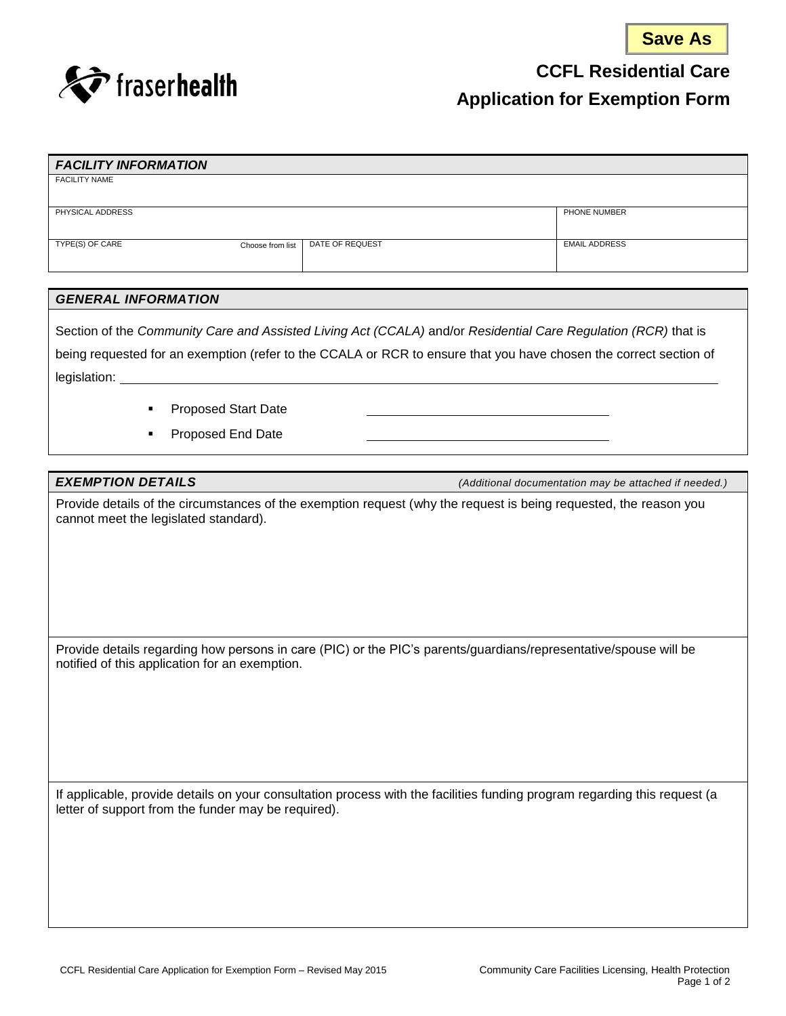



**CCFL Residential Care** 

### **Application for Exemption Form**

| <b>FACILITY INFORMATION</b>         |                 |                      |
|-------------------------------------|-----------------|----------------------|
| <b>FACILITY NAME</b>                |                 |                      |
|                                     |                 |                      |
| PHYSICAL ADDRESS                    |                 | PHONE NUMBER         |
|                                     |                 |                      |
| TYPE(S) OF CARE<br>Choose from list | DATE OF REQUEST | <b>EMAIL ADDRESS</b> |
|                                     |                 |                      |

### *GENERAL INFORMATION*

Section of the *Community Care and Assisted Living Act (CCALA)* and/or *Residential Care Regulation (RCR)* that is being requested for an exemption (refer to the CCALA or RCR to ensure that you have chosen the correct section of legislation: \_

- **Proposed Start Date**
- **Proposed End Date**

*EXEMPTION DETAILS (Additional documentation may be attached if needed.)*

Provide details of the circumstances of the exemption request (why the request is being requested, the reason you cannot meet the legislated standard).

Provide details regarding how persons in care (PIC) or the PIC's parents/guardians/representative/spouse will be notified of this application for an exemption.

If applicable, provide details on your consultation process with the facilities funding program regarding this request (a letter of support from the funder may be required).